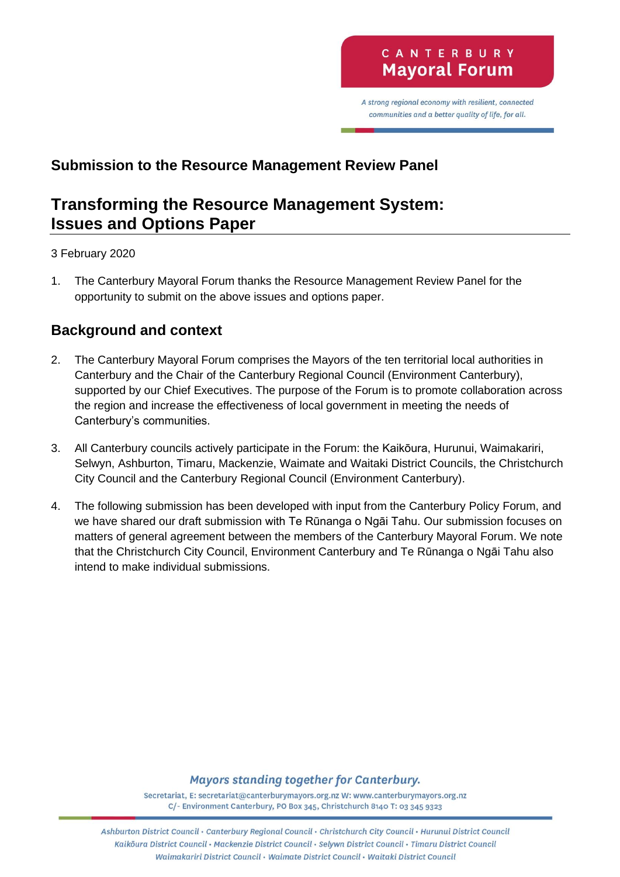A strong regional economy with resilient, connected communities and a better quality of life, for all.

# **Submission to the Resource Management Review Panel**

# **Transforming the Resource Management System: Issues and Options Paper**

#### 3 February 2020

1. The Canterbury Mayoral Forum thanks the Resource Management Review Panel for the opportunity to submit on the above issues and options paper.

## **Background and context**

- 2. The Canterbury Mayoral Forum comprises the Mayors of the ten territorial local authorities in Canterbury and the Chair of the Canterbury Regional Council (Environment Canterbury), supported by our Chief Executives. The purpose of the Forum is to promote collaboration across the region and increase the effectiveness of local government in meeting the needs of Canterbury's communities.
- 3. All Canterbury councils actively participate in the Forum: the Kaikōura, Hurunui, Waimakariri, Selwyn, Ashburton, Timaru, Mackenzie, Waimate and Waitaki District Councils, the Christchurch City Council and the Canterbury Regional Council (Environment Canterbury).
- 4. The following submission has been developed with input from the Canterbury Policy Forum, and we have shared our draft submission with Te Rūnanga o Ngāi Tahu. Our submission focuses on matters of general agreement between the members of the Canterbury Mayoral Forum. We note that the Christchurch City Council, Environment Canterbury and Te Rūnanga o Ngāi Tahu also intend to make individual submissions.

#### Mayors standing together for Canterbury.

Secretariat, E: secretariat@canterburymayors.org.nz W: www.canterburymayors.org.nz C/- Environment Canterbury, PO Box 345, Christchurch 8140 T: 03 345 9323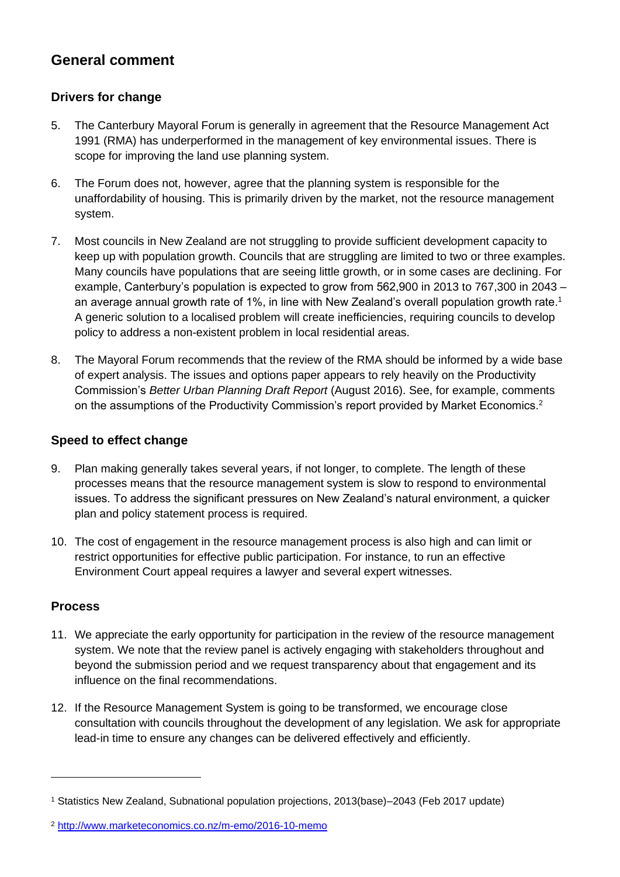# **General comment**

### **Drivers for change**

- 5. The Canterbury Mayoral Forum is generally in agreement that the Resource Management Act 1991 (RMA) has underperformed in the management of key environmental issues. There is scope for improving the land use planning system.
- 6. The Forum does not, however, agree that the planning system is responsible for the unaffordability of housing. This is primarily driven by the market, not the resource management system.
- 7. Most councils in New Zealand are not struggling to provide sufficient development capacity to keep up with population growth. Councils that are struggling are limited to two or three examples. Many councils have populations that are seeing little growth, or in some cases are declining. For example, Canterbury's population is expected to grow from 562,900 in 2013 to 767,300 in 2043 – an average annual growth rate of 1%, in line with New Zealand's overall population growth rate. 1 A generic solution to a localised problem will create inefficiencies, requiring councils to develop policy to address a non-existent problem in local residential areas.
- 8. The Mayoral Forum recommends that the review of the RMA should be informed by a wide base of expert analysis. The issues and options paper appears to rely heavily on the Productivity Commission's *Better Urban Planning Draft Report* (August 2016). See, for example, comments on the assumptions of the Productivity Commission's report provided by Market Economics.<sup>2</sup>

#### **Speed to effect change**

- 9. Plan making generally takes several years, if not longer, to complete. The length of these processes means that the resource management system is slow to respond to environmental issues. To address the significant pressures on New Zealand's natural environment, a quicker plan and policy statement process is required.
- 10. The cost of engagement in the resource management process is also high and can limit or restrict opportunities for effective public participation. For instance, to run an effective Environment Court appeal requires a lawyer and several expert witnesses.

#### **Process**

- 11. We appreciate the early opportunity for participation in the review of the resource management system. We note that the review panel is actively engaging with stakeholders throughout and beyond the submission period and we request transparency about that engagement and its influence on the final recommendations.
- 12. If the Resource Management System is going to be transformed, we encourage close consultation with councils throughout the development of any legislation. We ask for appropriate lead-in time to ensure any changes can be delivered effectively and efficiently.

<sup>1</sup> Statistics New Zealand, Subnational population projections, 2013(base)–2043 (Feb 2017 update)

<sup>2</sup> <http://www.marketeconomics.co.nz/m-emo/2016-10-memo>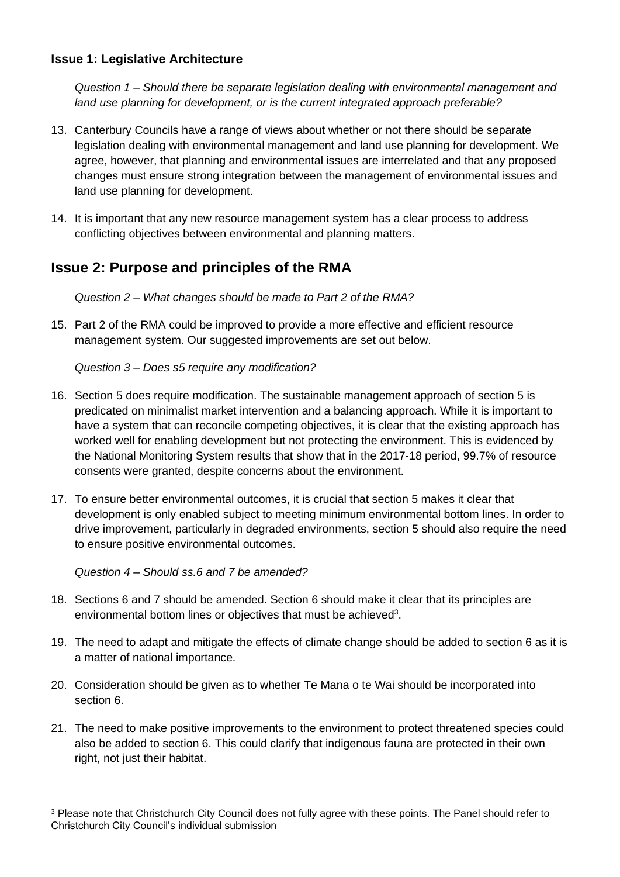#### **Issue 1: Legislative Architecture**

*Question 1 – Should there be separate legislation dealing with environmental management and land use planning for development, or is the current integrated approach preferable?*

- 13. Canterbury Councils have a range of views about whether or not there should be separate legislation dealing with environmental management and land use planning for development. We agree, however, that planning and environmental issues are interrelated and that any proposed changes must ensure strong integration between the management of environmental issues and land use planning for development.
- 14. It is important that any new resource management system has a clear process to address conflicting objectives between environmental and planning matters.

# **Issue 2: Purpose and principles of the RMA**

*Question 2 – What changes should be made to Part 2 of the RMA?* 

15. Part 2 of the RMA could be improved to provide a more effective and efficient resource management system. Our suggested improvements are set out below.

*Question 3 – Does s5 require any modification?*

- 16. Section 5 does require modification. The sustainable management approach of section 5 is predicated on minimalist market intervention and a balancing approach. While it is important to have a system that can reconcile competing objectives, it is clear that the existing approach has worked well for enabling development but not protecting the environment. This is evidenced by the National Monitoring System results that show that in the 2017-18 period, 99.7% of resource consents were granted, despite concerns about the environment.
- 17. To ensure better environmental outcomes, it is crucial that section 5 makes it clear that development is only enabled subject to meeting minimum environmental bottom lines. In order to drive improvement, particularly in degraded environments, section 5 should also require the need to ensure positive environmental outcomes.

*Question 4 – Should ss.6 and 7 be amended?*

- 18. Sections 6 and 7 should be amended. Section 6 should make it clear that its principles are environmental bottom lines or objectives that must be achieved<sup>3</sup>.
- 19. The need to adapt and mitigate the effects of climate change should be added to section 6 as it is a matter of national importance.
- 20. Consideration should be given as to whether Te Mana o te Wai should be incorporated into section 6.
- 21. The need to make positive improvements to the environment to protect threatened species could also be added to section 6. This could clarify that indigenous fauna are protected in their own right, not just their habitat.

<sup>&</sup>lt;sup>3</sup> Please note that Christchurch City Council does not fully agree with these points. The Panel should refer to Christchurch City Council's individual submission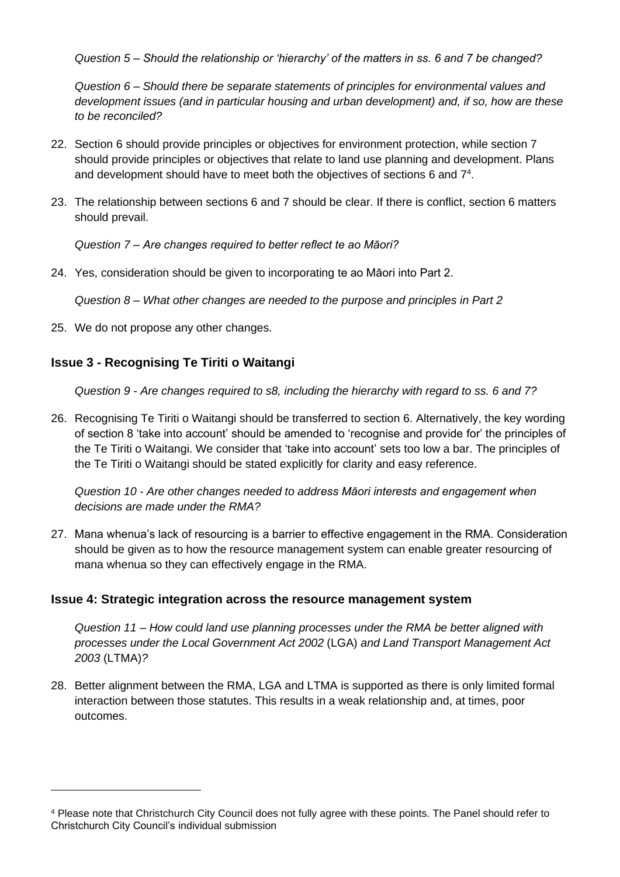*Question 5 – Should the relationship or 'hierarchy' of the matters in ss. 6 and 7 be changed?*

*Question 6 – Should there be separate statements of principles for environmental values and development issues (and in particular housing and urban development) and, if so, how are these to be reconciled?*

- 22. Section 6 should provide principles or objectives for environment protection, while section 7 should provide principles or objectives that relate to land use planning and development. Plans and development should have to meet both the objectives of sections 6 and  $7<sup>4</sup>$ .
- 23. The relationship between sections 6 and 7 should be clear. If there is conflict, section 6 matters should prevail.

*Question 7 – Are changes required to better reflect te ao Māori?*

24. Yes, consideration should be given to incorporating te ao Māori into Part 2.

*Question 8 – What other changes are needed to the purpose and principles in Part 2*

25. We do not propose any other changes.

### **Issue 3 - Recognising Te Tiriti o Waitangi**

*Question 9 - Are changes required to s8, including the hierarchy with regard to ss. 6 and 7?*

26. Recognising Te Tiriti o Waitangi should be transferred to section 6. Alternatively, the key wording of section 8 'take into account' should be amended to 'recognise and provide for' the principles of the Te Tiriti o Waitangi. We consider that 'take into account' sets too low a bar. The principles of the Te Tiriti o Waitangi should be stated explicitly for clarity and easy reference.

*Question 10 - Are other changes needed to address Māori interests and engagement when decisions are made under the RMA?*

27. Mana whenua's lack of resourcing is a barrier to effective engagement in the RMA. Consideration should be given as to how the resource management system can enable greater resourcing of mana whenua so they can effectively engage in the RMA.

#### **Issue 4: Strategic integration across the resource management system**

*Question 11 – How could land use planning processes under the RMA be better aligned with processes under the Local Government Act 2002* (LGA) *and Land Transport Management Act 2003* (LTMA)*?*

28. Better alignment between the RMA, LGA and LTMA is supported as there is only limited formal interaction between those statutes. This results in a weak relationship and, at times, poor outcomes.

<sup>4</sup> Please note that Christchurch City Council does not fully agree with these points. The Panel should refer to Christchurch City Council's individual submission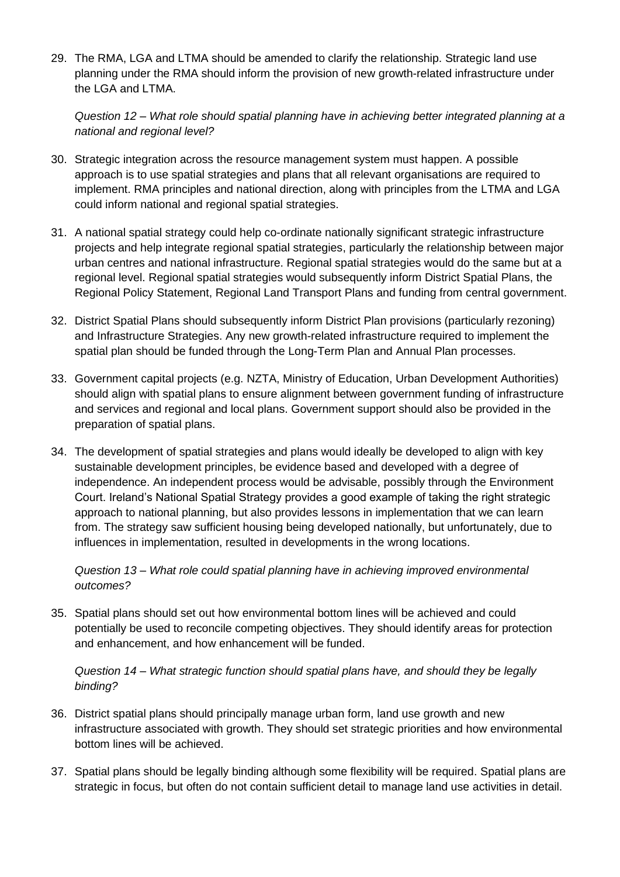29. The RMA, LGA and LTMA should be amended to clarify the relationship. Strategic land use planning under the RMA should inform the provision of new growth-related infrastructure under the LGA and LTMA.

#### *Question 12 – What role should spatial planning have in achieving better integrated planning at a national and regional level?*

- 30. Strategic integration across the resource management system must happen. A possible approach is to use spatial strategies and plans that all relevant organisations are required to implement. RMA principles and national direction, along with principles from the LTMA and LGA could inform national and regional spatial strategies.
- 31. A national spatial strategy could help co-ordinate nationally significant strategic infrastructure projects and help integrate regional spatial strategies, particularly the relationship between major urban centres and national infrastructure. Regional spatial strategies would do the same but at a regional level. Regional spatial strategies would subsequently inform District Spatial Plans, the Regional Policy Statement, Regional Land Transport Plans and funding from central government.
- 32. District Spatial Plans should subsequently inform District Plan provisions (particularly rezoning) and Infrastructure Strategies. Any new growth-related infrastructure required to implement the spatial plan should be funded through the Long-Term Plan and Annual Plan processes.
- 33. Government capital projects (e.g. NZTA, Ministry of Education, Urban Development Authorities) should align with spatial plans to ensure alignment between government funding of infrastructure and services and regional and local plans. Government support should also be provided in the preparation of spatial plans.
- 34. The development of spatial strategies and plans would ideally be developed to align with key sustainable development principles, be evidence based and developed with a degree of independence. An independent process would be advisable, possibly through the Environment Court. Ireland's National Spatial Strategy provides a good example of taking the right strategic approach to national planning, but also provides lessons in implementation that we can learn from. The strategy saw sufficient housing being developed nationally, but unfortunately, due to influences in implementation, resulted in developments in the wrong locations.

*Question 13 – What role could spatial planning have in achieving improved environmental outcomes?*

35. Spatial plans should set out how environmental bottom lines will be achieved and could potentially be used to reconcile competing objectives. They should identify areas for protection and enhancement, and how enhancement will be funded.

*Question 14 – What strategic function should spatial plans have, and should they be legally binding?*

- 36. District spatial plans should principally manage urban form, land use growth and new infrastructure associated with growth. They should set strategic priorities and how environmental bottom lines will be achieved.
- 37. Spatial plans should be legally binding although some flexibility will be required. Spatial plans are strategic in focus, but often do not contain sufficient detail to manage land use activities in detail.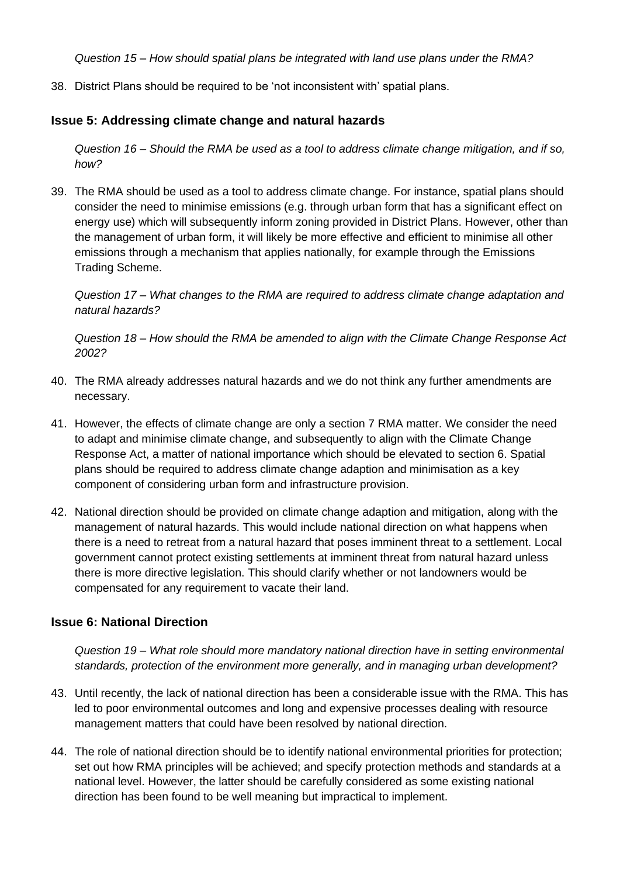*Question 15 – How should spatial plans be integrated with land use plans under the RMA?*

38. District Plans should be required to be 'not inconsistent with' spatial plans.

#### **Issue 5: Addressing climate change and natural hazards**

*Question 16 – Should the RMA be used as a tool to address climate change mitigation, and if so, how?*

39. The RMA should be used as a tool to address climate change. For instance, spatial plans should consider the need to minimise emissions (e.g. through urban form that has a significant effect on energy use) which will subsequently inform zoning provided in District Plans. However, other than the management of urban form, it will likely be more effective and efficient to minimise all other emissions through a mechanism that applies nationally, for example through the Emissions Trading Scheme.

*Question 17 – What changes to the RMA are required to address climate change adaptation and natural hazards?*

*Question 18 – How should the RMA be amended to align with the Climate Change Response Act 2002?*

- 40. The RMA already addresses natural hazards and we do not think any further amendments are necessary.
- 41. However, the effects of climate change are only a section 7 RMA matter. We consider the need to adapt and minimise climate change, and subsequently to align with the Climate Change Response Act, a matter of national importance which should be elevated to section 6. Spatial plans should be required to address climate change adaption and minimisation as a key component of considering urban form and infrastructure provision.
- 42. National direction should be provided on climate change adaption and mitigation, along with the management of natural hazards. This would include national direction on what happens when there is a need to retreat from a natural hazard that poses imminent threat to a settlement. Local government cannot protect existing settlements at imminent threat from natural hazard unless there is more directive legislation. This should clarify whether or not landowners would be compensated for any requirement to vacate their land.

### **Issue 6: National Direction**

*Question 19 – What role should more mandatory national direction have in setting environmental standards, protection of the environment more generally, and in managing urban development?*

- 43. Until recently, the lack of national direction has been a considerable issue with the RMA. This has led to poor environmental outcomes and long and expensive processes dealing with resource management matters that could have been resolved by national direction.
- 44. The role of national direction should be to identify national environmental priorities for protection; set out how RMA principles will be achieved; and specify protection methods and standards at a national level. However, the latter should be carefully considered as some existing national direction has been found to be well meaning but impractical to implement.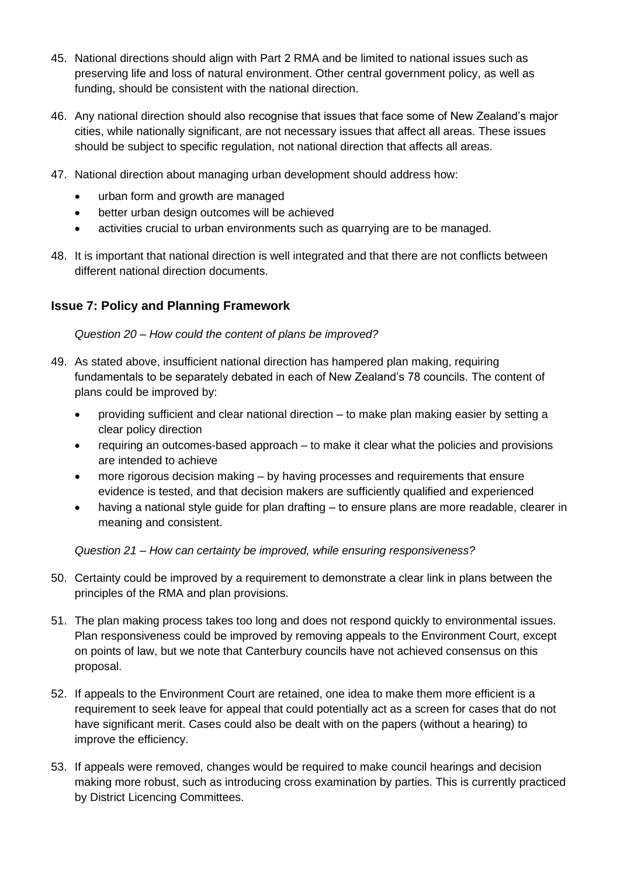- 45. National directions should align with Part 2 RMA and be limited to national issues such as preserving life and loss of natural environment. Other central government policy, as well as funding, should be consistent with the national direction.
- 46. Any national direction should also recognise that issues that face some of New Zealand's major cities, while nationally significant, are not necessary issues that affect all areas. These issues should be subject to specific regulation, not national direction that affects all areas.
- 47. National direction about managing urban development should address how:
	- urban form and growth are managed
	- better urban design outcomes will be achieved
	- activities crucial to urban environments such as quarrying are to be managed.
- 48. It is important that national direction is well integrated and that there are not conflicts between different national direction documents.

### **Issue 7: Policy and Planning Framework**

*Question 20 – How could the content of plans be improved?*

- 49. As stated above, insufficient national direction has hampered plan making, requiring fundamentals to be separately debated in each of New Zealand's 78 councils. The content of plans could be improved by:
	- providing sufficient and clear national direction to make plan making easier by setting a clear policy direction
	- requiring an outcomes-based approach to make it clear what the policies and provisions are intended to achieve
	- more rigorous decision making by having processes and requirements that ensure evidence is tested, and that decision makers are sufficiently qualified and experienced
	- having a national style guide for plan drafting to ensure plans are more readable, clearer in meaning and consistent.

*Question 21 – How can certainty be improved, while ensuring responsiveness?*

- 50. Certainty could be improved by a requirement to demonstrate a clear link in plans between the principles of the RMA and plan provisions.
- 51. The plan making process takes too long and does not respond quickly to environmental issues. Plan responsiveness could be improved by removing appeals to the Environment Court, except on points of law, but we note that Canterbury councils have not achieved consensus on this proposal.
- 52. If appeals to the Environment Court are retained, one idea to make them more efficient is a requirement to seek leave for appeal that could potentially act as a screen for cases that do not have significant merit. Cases could also be dealt with on the papers (without a hearing) to improve the efficiency.
- 53. If appeals were removed, changes would be required to make council hearings and decision making more robust, such as introducing cross examination by parties. This is currently practiced by District Licencing Committees.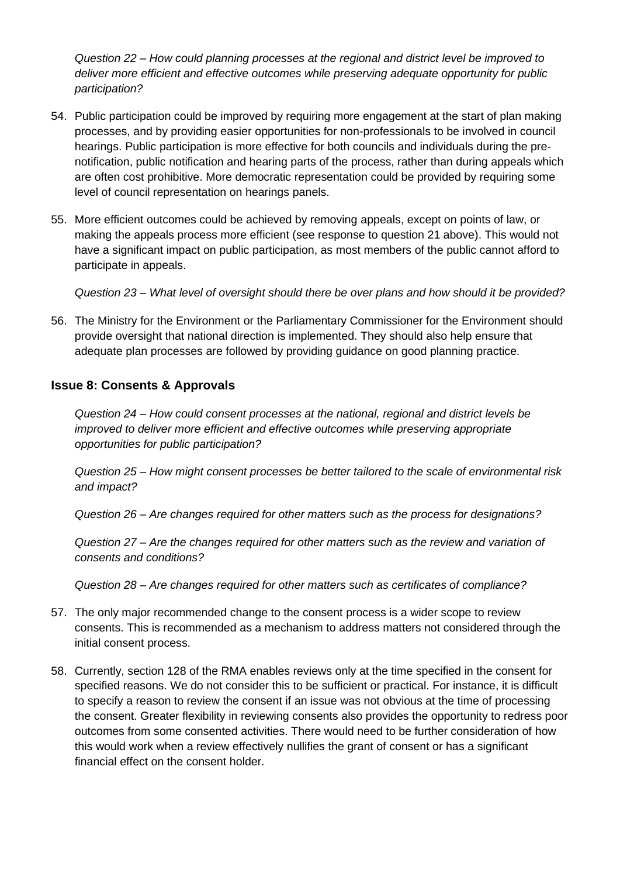*Question 22 – How could planning processes at the regional and district level be improved to deliver more efficient and effective outcomes while preserving adequate opportunity for public participation?*

- 54. Public participation could be improved by requiring more engagement at the start of plan making processes, and by providing easier opportunities for non-professionals to be involved in council hearings. Public participation is more effective for both councils and individuals during the prenotification, public notification and hearing parts of the process, rather than during appeals which are often cost prohibitive. More democratic representation could be provided by requiring some level of council representation on hearings panels.
- 55. More efficient outcomes could be achieved by removing appeals, except on points of law, or making the appeals process more efficient (see response to question 21 above). This would not have a significant impact on public participation, as most members of the public cannot afford to participate in appeals.

*Question 23 – What level of oversight should there be over plans and how should it be provided?*

56. The Ministry for the Environment or the Parliamentary Commissioner for the Environment should provide oversight that national direction is implemented. They should also help ensure that adequate plan processes are followed by providing guidance on good planning practice.

#### **Issue 8: Consents & Approvals**

*Question 24 – How could consent processes at the national, regional and district levels be improved to deliver more efficient and effective outcomes while preserving appropriate opportunities for public participation?*

*Question 25 – How might consent processes be better tailored to the scale of environmental risk and impact?*

*Question 26 – Are changes required for other matters such as the process for designations?*

*Question 27 – Are the changes required for other matters such as the review and variation of consents and conditions?*

*Question 28 – Are changes required for other matters such as certificates of compliance?*

- 57. The only major recommended change to the consent process is a wider scope to review consents. This is recommended as a mechanism to address matters not considered through the initial consent process.
- 58. Currently, section 128 of the RMA enables reviews only at the time specified in the consent for specified reasons. We do not consider this to be sufficient or practical. For instance, it is difficult to specify a reason to review the consent if an issue was not obvious at the time of processing the consent. Greater flexibility in reviewing consents also provides the opportunity to redress poor outcomes from some consented activities. There would need to be further consideration of how this would work when a review effectively nullifies the grant of consent or has a significant financial effect on the consent holder.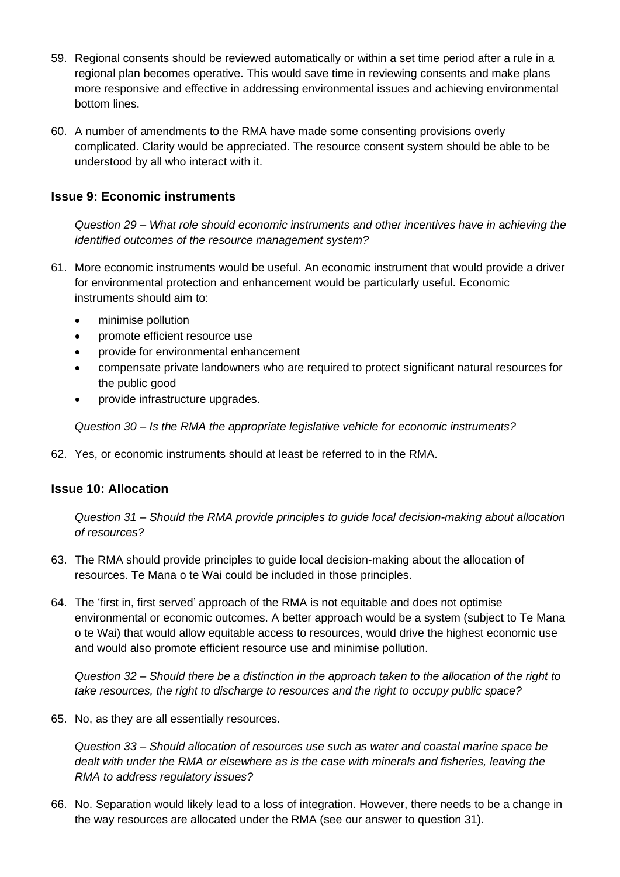- 59. Regional consents should be reviewed automatically or within a set time period after a rule in a regional plan becomes operative. This would save time in reviewing consents and make plans more responsive and effective in addressing environmental issues and achieving environmental bottom lines.
- 60. A number of amendments to the RMA have made some consenting provisions overly complicated. Clarity would be appreciated. The resource consent system should be able to be understood by all who interact with it.

#### **Issue 9: Economic instruments**

*Question 29 – What role should economic instruments and other incentives have in achieving the identified outcomes of the resource management system?*

- 61. More economic instruments would be useful. An economic instrument that would provide a driver for environmental protection and enhancement would be particularly useful. Economic instruments should aim to:
	- minimise pollution
	- promote efficient resource use
	- provide for environmental enhancement
	- compensate private landowners who are required to protect significant natural resources for the public good
	- provide infrastructure upgrades.

*Question 30 – Is the RMA the appropriate legislative vehicle for economic instruments?*

62. Yes, or economic instruments should at least be referred to in the RMA.

#### **Issue 10: Allocation**

*Question 31 – Should the RMA provide principles to guide local decision-making about allocation of resources?*

- 63. The RMA should provide principles to guide local decision-making about the allocation of resources. Te Mana o te Wai could be included in those principles.
- 64. The 'first in, first served' approach of the RMA is not equitable and does not optimise environmental or economic outcomes. A better approach would be a system (subject to Te Mana o te Wai) that would allow equitable access to resources, would drive the highest economic use and would also promote efficient resource use and minimise pollution.

*Question 32 – Should there be a distinction in the approach taken to the allocation of the right to take resources, the right to discharge to resources and the right to occupy public space?*

65. No, as they are all essentially resources.

*Question 33 – Should allocation of resources use such as water and coastal marine space be dealt with under the RMA or elsewhere as is the case with minerals and fisheries, leaving the RMA to address regulatory issues?*

66. No. Separation would likely lead to a loss of integration. However, there needs to be a change in the way resources are allocated under the RMA (see our answer to question 31).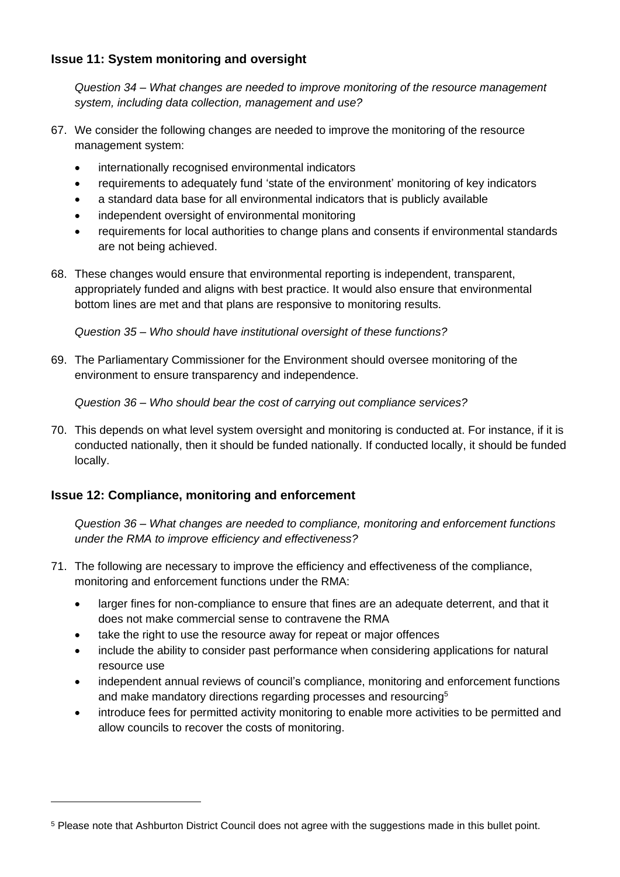### **Issue 11: System monitoring and oversight**

*Question 34 – What changes are needed to improve monitoring of the resource management system, including data collection, management and use?*

- 67. We consider the following changes are needed to improve the monitoring of the resource management system:
	- internationally recognised environmental indicators
	- requirements to adequately fund 'state of the environment' monitoring of key indicators
	- a standard data base for all environmental indicators that is publicly available
	- independent oversight of environmental monitoring
	- requirements for local authorities to change plans and consents if environmental standards are not being achieved.
- 68. These changes would ensure that environmental reporting is independent, transparent, appropriately funded and aligns with best practice. It would also ensure that environmental bottom lines are met and that plans are responsive to monitoring results.

*Question 35 – Who should have institutional oversight of these functions?*

69. The Parliamentary Commissioner for the Environment should oversee monitoring of the environment to ensure transparency and independence.

*Question 36 – Who should bear the cost of carrying out compliance services?*

70. This depends on what level system oversight and monitoring is conducted at. For instance, if it is conducted nationally, then it should be funded nationally. If conducted locally, it should be funded locally.

### **Issue 12: Compliance, monitoring and enforcement**

*Question 36 – What changes are needed to compliance, monitoring and enforcement functions under the RMA to improve efficiency and effectiveness?*

- 71. The following are necessary to improve the efficiency and effectiveness of the compliance, monitoring and enforcement functions under the RMA:
	- larger fines for non-compliance to ensure that fines are an adequate deterrent, and that it does not make commercial sense to contravene the RMA
	- take the right to use the resource away for repeat or major offences
	- include the ability to consider past performance when considering applications for natural resource use
	- independent annual reviews of council's compliance, monitoring and enforcement functions and make mandatory directions regarding processes and resourcing<sup>5</sup>
	- introduce fees for permitted activity monitoring to enable more activities to be permitted and allow councils to recover the costs of monitoring.

<sup>5</sup> Please note that Ashburton District Council does not agree with the suggestions made in this bullet point.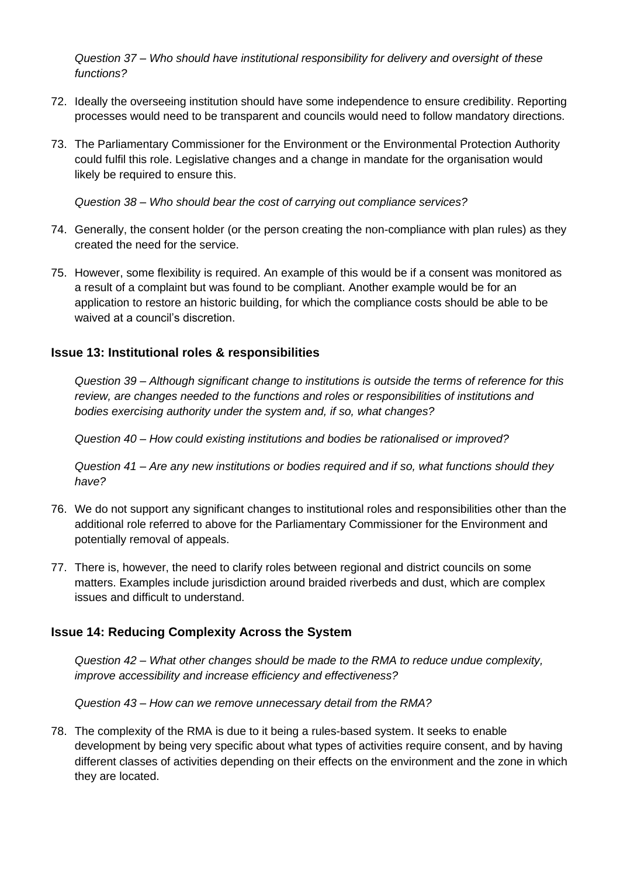*Question 37 – Who should have institutional responsibility for delivery and oversight of these functions?*

- 72. Ideally the overseeing institution should have some independence to ensure credibility. Reporting processes would need to be transparent and councils would need to follow mandatory directions.
- 73. The Parliamentary Commissioner for the Environment or the Environmental Protection Authority could fulfil this role. Legislative changes and a change in mandate for the organisation would likely be required to ensure this.

*Question 38 – Who should bear the cost of carrying out compliance services?*

- 74. Generally, the consent holder (or the person creating the non-compliance with plan rules) as they created the need for the service.
- 75. However, some flexibility is required. An example of this would be if a consent was monitored as a result of a complaint but was found to be compliant. Another example would be for an application to restore an historic building, for which the compliance costs should be able to be waived at a council's discretion.

#### **Issue 13: Institutional roles & responsibilities**

*Question 39 – Although significant change to institutions is outside the terms of reference for this review, are changes needed to the functions and roles or responsibilities of institutions and bodies exercising authority under the system and, if so, what changes?*

*Question 40 – How could existing institutions and bodies be rationalised or improved?*

*Question 41 – Are any new institutions or bodies required and if so, what functions should they have?*

- 76. We do not support any significant changes to institutional roles and responsibilities other than the additional role referred to above for the Parliamentary Commissioner for the Environment and potentially removal of appeals.
- 77. There is, however, the need to clarify roles between regional and district councils on some matters. Examples include jurisdiction around braided riverbeds and dust, which are complex issues and difficult to understand.

#### **Issue 14: Reducing Complexity Across the System**

*Question 42 – What other changes should be made to the RMA to reduce undue complexity, improve accessibility and increase efficiency and effectiveness?*

*Question 43 – How can we remove unnecessary detail from the RMA?*

78. The complexity of the RMA is due to it being a rules-based system. It seeks to enable development by being very specific about what types of activities require consent, and by having different classes of activities depending on their effects on the environment and the zone in which they are located.